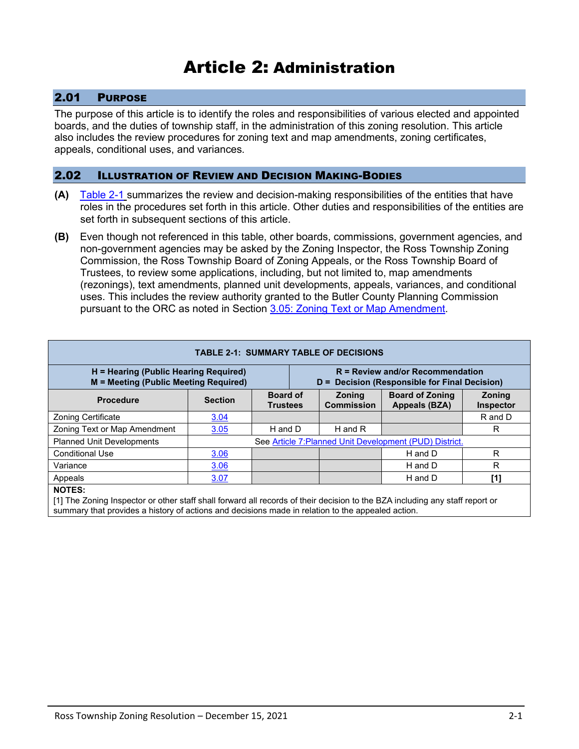# Article 2: Administration

# 2.01 PURPOSE

The purpose of this article is to identify the roles and responsibilities of various elected and appointed boards, and the duties of township staff, in the administration of this zoning resolution. This article also includes the review procedures for zoning text and map amendments, zoning certificates, appeals, conditional uses, and variances.

### 2.02 ILLUSTRATION OF REVIEW AND DECISION MAKING-BODIES

- **(A)** [Table 2-1](#page-0-0) summarizes the review and decision-making responsibilities of the entities that have roles in the procedures set forth in this article. Other duties and responsibilities of the entities are set forth in subsequent sections of this article.
- **(B)** Even though not referenced in this table, other boards, commissions, government agencies, and non-government agencies may be asked by the Zoning Inspector, the Ross Township Zoning Commission, the Ross Township Board of Zoning Appeals, or the Ross Township Board of Trustees, to review some applications, including, but not limited to, map amendments (rezonings), text amendments, planned unit developments, appeals, variances, and conditional uses. This includes the review authority granted to the Butler County Planning Commission pursuant to the ORC as noted in Section 3.05: Zoning Text or Map Amendment.

<span id="page-0-0"></span>

| <b>TABLE 2-1: SUMMARY TABLE OF DECISIONS</b>                                   |                                                         |                                    |  |                                                                                     |                                         |                            |  |
|--------------------------------------------------------------------------------|---------------------------------------------------------|------------------------------------|--|-------------------------------------------------------------------------------------|-----------------------------------------|----------------------------|--|
| H = Hearing (Public Hearing Required)<br>M = Meeting (Public Meeting Required) |                                                         |                                    |  | $R =$ Review and/or Recommendation<br>D = Decision (Responsible for Final Decision) |                                         |                            |  |
| <b>Procedure</b>                                                               | <b>Section</b>                                          | <b>Board of</b><br><b>Trustees</b> |  | <b>Zoning</b><br><b>Commission</b>                                                  | <b>Board of Zoning</b><br>Appeals (BZA) | <b>Zoning</b><br>Inspector |  |
| Zoning Certificate                                                             | 3.04                                                    |                                    |  |                                                                                     |                                         | R and D                    |  |
| Zoning Text or Map Amendment                                                   | 3.05                                                    | H and D                            |  | H and R                                                                             |                                         | R                          |  |
| <b>Planned Unit Developments</b>                                               | See Article 7: Planned Unit Development (PUD) District. |                                    |  |                                                                                     |                                         |                            |  |
| <b>Conditional Use</b>                                                         | 3.06                                                    |                                    |  |                                                                                     | H and D                                 | R                          |  |
| Variance                                                                       | 3.06                                                    |                                    |  |                                                                                     | H and D                                 | R                          |  |
| Appeals                                                                        | 3.07                                                    |                                    |  |                                                                                     | H and D                                 | [1]                        |  |
| NOTEO.                                                                         |                                                         |                                    |  |                                                                                     |                                         |                            |  |

#### **NOTES:**

[1] The Zoning Inspector or other staff shall forward all records of their decision to the BZA including any staff report or summary that provides a history of actions and decisions made in relation to the appealed action.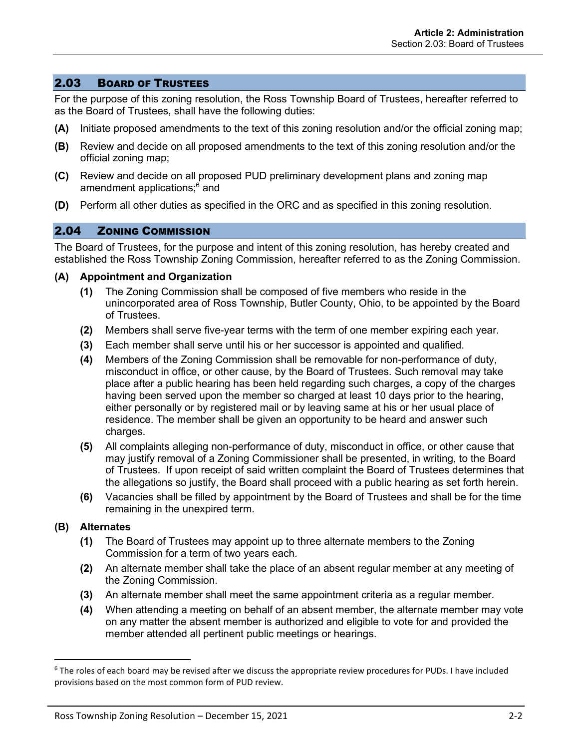### 2.03 BOARD OF TRUSTEES

For the purpose of this zoning resolution, the Ross Township Board of Trustees, hereafter referred to as the Board of Trustees, shall have the following duties:

- **(A)** Initiate proposed amendments to the text of this zoning resolution and/or the official zoning map;
- **(B)** Review and decide on all proposed amendments to the text of this zoning resolution and/or the official zoning map;
- **(C)** Review and decide on all proposed PUD preliminary development plans and zoning map amendment applications; <sup>6</sup> and
- **(D)** Perform all other duties as specified in the ORC and as specified in this zoning resolution.

### 2.04 ZONING COMMISSION

The Board of Trustees, for the purpose and intent of this zoning resolution, has hereby created and established the Ross Township Zoning Commission, hereafter referred to as the Zoning Commission.

#### **(A) Appointment and Organization**

- **(1)** The Zoning Commission shall be composed of five members who reside in the unincorporated area of Ross Township, Butler County, Ohio, to be appointed by the Board of Trustees.
- **(2)** Members shall serve five-year terms with the term of one member expiring each year.
- **(3)** Each member shall serve until his or her successor is appointed and qualified.
- **(4)** Members of the Zoning Commission shall be removable for non-performance of duty, misconduct in office, or other cause, by the Board of Trustees. Such removal may take place after a public hearing has been held regarding such charges, a copy of the charges having been served upon the member so charged at least 10 days prior to the hearing, either personally or by registered mail or by leaving same at his or her usual place of residence. The member shall be given an opportunity to be heard and answer such charges.
- **(5)** All complaints alleging non-performance of duty, misconduct in office, or other cause that may justify removal of a Zoning Commissioner shall be presented, in writing, to the Board of Trustees. If upon receipt of said written complaint the Board of Trustees determines that the allegations so justify, the Board shall proceed with a public hearing as set forth herein.
- **(6)** Vacancies shall be filled by appointment by the Board of Trustees and shall be for the time remaining in the unexpired term.

### **(B) Alternates**

- **(1)** The Board of Trustees may appoint up to three alternate members to the Zoning Commission for a term of two years each.
- **(2)** An alternate member shall take the place of an absent regular member at any meeting of the Zoning Commission.
- **(3)** An alternate member shall meet the same appointment criteria as a regular member.
- **(4)** When attending a meeting on behalf of an absent member, the alternate member may vote on any matter the absent member is authorized and eligible to vote for and provided the member attended all pertinent public meetings or hearings.

<sup>&</sup>lt;sup>6</sup> The roles of each board may be revised after we discuss the appropriate review procedures for PUDs. I have included provisions based on the most common form of PUD review.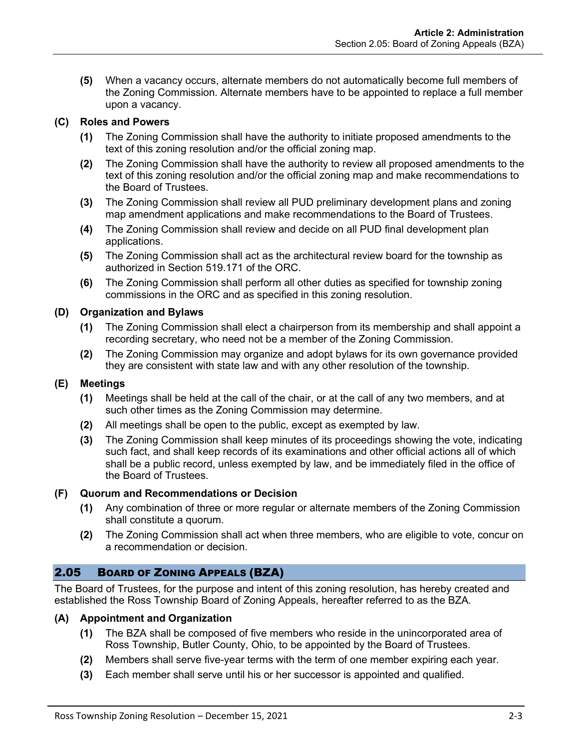**(5)** When a vacancy occurs, alternate members do not automatically become full members of the Zoning Commission. Alternate members have to be appointed to replace a full member upon a vacancy.

# **(C) Roles and Powers**

- **(1)** The Zoning Commission shall have the authority to initiate proposed amendments to the text of this zoning resolution and/or the official zoning map.
- **(2)** The Zoning Commission shall have the authority to review all proposed amendments to the text of this zoning resolution and/or the official zoning map and make recommendations to the Board of Trustees.
- **(3)** The Zoning Commission shall review all PUD preliminary development plans and zoning map amendment applications and make recommendations to the Board of Trustees.
- **(4)** The Zoning Commission shall review and decide on all PUD final development plan applications.
- **(5)** The Zoning Commission shall act as the architectural review board for the township as authorized in Section 519.171 of the ORC.
- **(6)** The Zoning Commission shall perform all other duties as specified for township zoning commissions in the ORC and as specified in this zoning resolution.

# **(D) Organization and Bylaws**

- **(1)** The Zoning Commission shall elect a chairperson from its membership and shall appoint a recording secretary, who need not be a member of the Zoning Commission.
- **(2)** The Zoning Commission may organize and adopt bylaws for its own governance provided they are consistent with state law and with any other resolution of the township.

# **(E) Meetings**

- **(1)** Meetings shall be held at the call of the chair, or at the call of any two members, and at such other times as the Zoning Commission may determine.
- **(2)** All meetings shall be open to the public, except as exempted by law.
- **(3)** The Zoning Commission shall keep minutes of its proceedings showing the vote, indicating such fact, and shall keep records of its examinations and other official actions all of which shall be a public record, unless exempted by law, and be immediately filed in the office of the Board of Trustees.

# **(F) Quorum and Recommendations or Decision**

- **(1)** Any combination of three or more regular or alternate members of the Zoning Commission shall constitute a quorum.
- **(2)** The Zoning Commission shall act when three members, who are eligible to vote, concur on a recommendation or decision.

# 2.05 BOARD OF ZONING APPEALS (BZA)

The Board of Trustees, for the purpose and intent of this zoning resolution, has hereby created and established the Ross Township Board of Zoning Appeals, hereafter referred to as the BZA.

# **(A) Appointment and Organization**

- **(1)** The BZA shall be composed of five members who reside in the unincorporated area of Ross Township, Butler County, Ohio, to be appointed by the Board of Trustees.
- **(2)** Members shall serve five-year terms with the term of one member expiring each year.
- **(3)** Each member shall serve until his or her successor is appointed and qualified.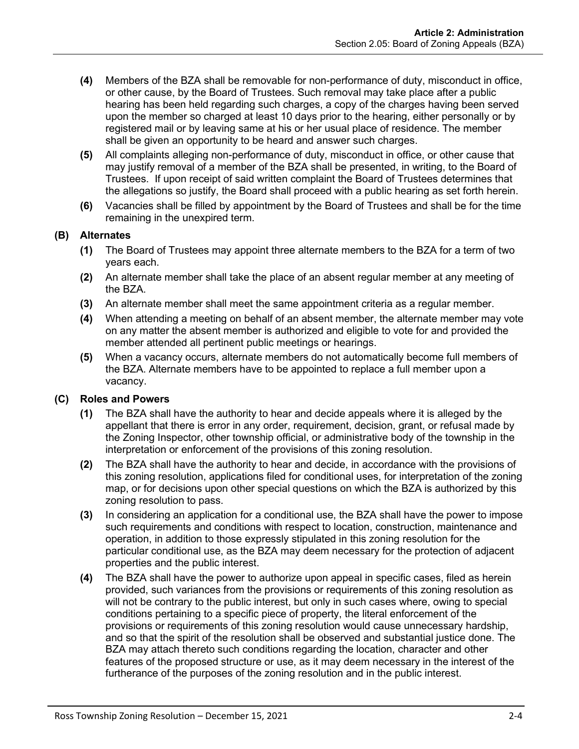- **(4)** Members of the BZA shall be removable for non-performance of duty, misconduct in office, or other cause, by the Board of Trustees. Such removal may take place after a public hearing has been held regarding such charges, a copy of the charges having been served upon the member so charged at least 10 days prior to the hearing, either personally or by registered mail or by leaving same at his or her usual place of residence. The member shall be given an opportunity to be heard and answer such charges.
- **(5)** All complaints alleging non-performance of duty, misconduct in office, or other cause that may justify removal of a member of the BZA shall be presented, in writing, to the Board of Trustees. If upon receipt of said written complaint the Board of Trustees determines that the allegations so justify, the Board shall proceed with a public hearing as set forth herein.
- **(6)** Vacancies shall be filled by appointment by the Board of Trustees and shall be for the time remaining in the unexpired term.

### **(B) Alternates**

- **(1)** The Board of Trustees may appoint three alternate members to the BZA for a term of two years each.
- **(2)** An alternate member shall take the place of an absent regular member at any meeting of the BZA.
- **(3)** An alternate member shall meet the same appointment criteria as a regular member.
- **(4)** When attending a meeting on behalf of an absent member, the alternate member may vote on any matter the absent member is authorized and eligible to vote for and provided the member attended all pertinent public meetings or hearings.
- **(5)** When a vacancy occurs, alternate members do not automatically become full members of the BZA. Alternate members have to be appointed to replace a full member upon a vacancy.

### **(C) Roles and Powers**

- **(1)** The BZA shall have the authority to hear and decide appeals where it is alleged by the appellant that there is error in any order, requirement, decision, grant, or refusal made by the Zoning Inspector, other township official, or administrative body of the township in the interpretation or enforcement of the provisions of this zoning resolution.
- **(2)** The BZA shall have the authority to hear and decide, in accordance with the provisions of this zoning resolution, applications filed for conditional uses, for interpretation of the zoning map, or for decisions upon other special questions on which the BZA is authorized by this zoning resolution to pass.
- **(3)** In considering an application for a conditional use, the BZA shall have the power to impose such requirements and conditions with respect to location, construction, maintenance and operation, in addition to those expressly stipulated in this zoning resolution for the particular conditional use, as the BZA may deem necessary for the protection of adjacent properties and the public interest.
- **(4)** The BZA shall have the power to authorize upon appeal in specific cases, filed as herein provided, such variances from the provisions or requirements of this zoning resolution as will not be contrary to the public interest, but only in such cases where, owing to special conditions pertaining to a specific piece of property, the literal enforcement of the provisions or requirements of this zoning resolution would cause unnecessary hardship, and so that the spirit of the resolution shall be observed and substantial justice done. The BZA may attach thereto such conditions regarding the location, character and other features of the proposed structure or use, as it may deem necessary in the interest of the furtherance of the purposes of the zoning resolution and in the public interest.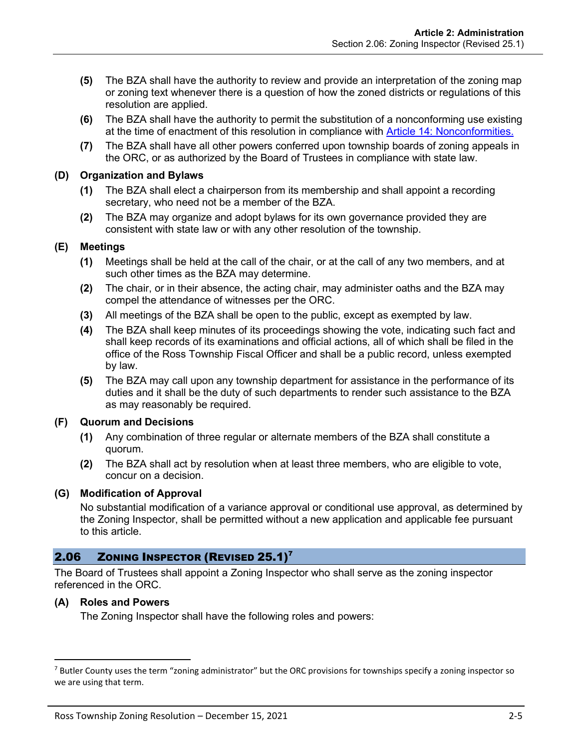- **(5)** The BZA shall have the authority to review and provide an interpretation of the zoning map or zoning text whenever there is a question of how the zoned districts or regulations of this resolution are applied.
- **(6)** The BZA shall have the authority to permit the substitution of a nonconforming use existing at the time of enactment of this resolution in compliance with Article 14: Nonconformities.
- **(7)** The BZA shall have all other powers conferred upon township boards of zoning appeals in the ORC, or as authorized by the Board of Trustees in compliance with state law.

### **(D) Organization and Bylaws**

- **(1)** The BZA shall elect a chairperson from its membership and shall appoint a recording secretary, who need not be a member of the BZA.
- **(2)** The BZA may organize and adopt bylaws for its own governance provided they are consistent with state law or with any other resolution of the township.

### **(E) Meetings**

- **(1)** Meetings shall be held at the call of the chair, or at the call of any two members, and at such other times as the BZA may determine.
- **(2)** The chair, or in their absence, the acting chair, may administer oaths and the BZA may compel the attendance of witnesses per the ORC.
- **(3)** All meetings of the BZA shall be open to the public, except as exempted by law.
- **(4)** The BZA shall keep minutes of its proceedings showing the vote, indicating such fact and shall keep records of its examinations and official actions, all of which shall be filed in the office of the Ross Township Fiscal Officer and shall be a public record, unless exempted by law.
- **(5)** The BZA may call upon any township department for assistance in the performance of its duties and it shall be the duty of such departments to render such assistance to the BZA as may reasonably be required.

### **(F) Quorum and Decisions**

- **(1)** Any combination of three regular or alternate members of the BZA shall constitute a quorum.
- **(2)** The BZA shall act by resolution when at least three members, who are eligible to vote, concur on a decision.

### **(G) Modification of Approval**

No substantial modification of a variance approval or conditional use approval, as determined by the Zoning Inspector, shall be permitted without a new application and applicable fee pursuant to this article.

# 2.06 ZONING INSPECTOR (REVISED 25.1)<sup>7</sup>

The Board of Trustees shall appoint a Zoning Inspector who shall serve as the zoning inspector referenced in the ORC.

### **(A) Roles and Powers**

The Zoning Inspector shall have the following roles and powers:

<sup>&</sup>lt;sup>7</sup> Butler County uses the term "zoning administrator" but the ORC provisions for townships specify a zoning inspector so we are using that term.